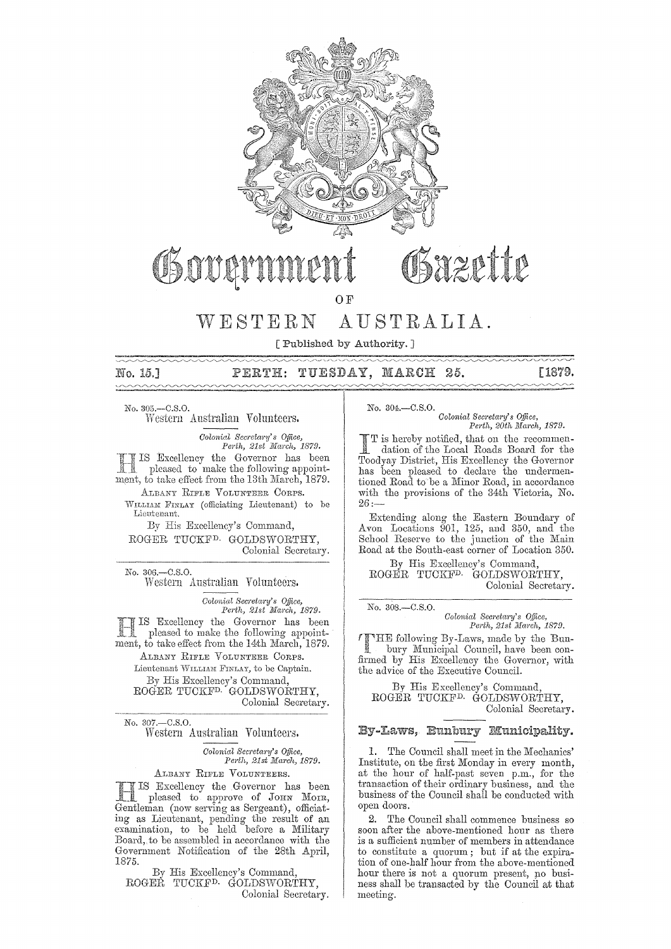

O<sub>F</sub>

# WESTERN AUSTRALIA.

[Published by Authority. ]

No. 15.1

#### TUESDAY, MARCH 25. [1879.  $\texttt{PERTH}:$

No. 305.-C.S.0. Western Australian Volunteers.

> *Colonial Secretary's Office, Perth, 21st 1'IIarch, 1879.*

IS Excellency the Governor has been pleased to make the following appointment, to take effect from the 13th March, 1879. ALBANY RIFLE VOLUNTEER CORPS.

WILLIAM FINLAY (officiating Lieutenant) to be **Lieutenant.** 

Excellency's Command, ROGER TUCKF<sup>D.</sup> GOLDSWORTHY, Colonial Secretary.

No. 306.-C.S.0. Western Australian Volunteers.

*Colonittl Secretary's Office, Perth, 21st March, 1879.* IS Excellency the Governor has been pleased to make the following appointment, to take effect from the 14th March, 1879. ALBANY RIFLE VOLUNTEER CORPS. Lieutenant WILLIAM FINLAY, to be Captain. By His Excellency's Command, ROGER TUCKFD. GOLDSWORTHY, Colonial Secretary.

No. 307.-C.S.0.

Western Australian Vohmteers.

*Colonial SeCl'etal'Y's o.tJice, Perth, 21st Ma1'Ch, 1879.* 

ALBANY RIFLE VOLUNTEERS.

Excellency the Governor has been pleased to approve of JOHN MOIR, (now serving as Sergeant), officiating as Lieutenant, pending the result of an examination, to be held before a Military Board, to be assembled in accordance with the Government Notification of the 28th April, 1875.

By His Excellency's Command, ROGER TUCKF<sup>D.</sup> GOLDSWORTHY, Colonial Secretary. No. 304.-C.S.O.

*Colonial Secretary's Office, Perth, 20th March, 1879.* 

is hereby notified, that on the recommendation of the Local Roads Board for the Toodyay District, His Excellency the Governor has been pleased to declare the undermentioned Road to be a Minor Road, in accordance with the provisions of the 34th Victoria, No. 26:-

Extending along the Eastern Boundary of Avon Locations  $901, 125,$  and 350, and the School Reserve to the junction of the Main Road at the South-east corner of Location 350.

By His Excellency's Command, ROGER TUCKF<sup>D.</sup> GOLDSWORTHY, Colonial Sectetary.

No. 308.-C.8.0.

 $Colonial$  Secretary's Office, *Pe)'th, 21st ]Iarch, 1879.* 

THE following By-Laws, also maren, 1879. bury Municipal Council, have been confirmed by His Excellency the Governor, with the advice of the Executive Council.

By His Excellency's Command, ROGER TUCKFD. GOLDSWORTHY, Colonial Secretary.

# By-Laws, Bunbury Municipality.

l. The Council shall meet in the Mechanics' Institute, on the first Monday in every month, at the hour of half-past seven p.m., for the transaction of their ordinary business, and the business of the Council shall be conducted with open doors.

**2.** The Council shall commence business so soon after the above-mentioned hour as there is a sufficient number of members in attendance to constitute a quorum; but if at the expiration of one-half hour from the above-mentioned hour there is not a quorum present, po business shall be transacted by the Council at that meeting.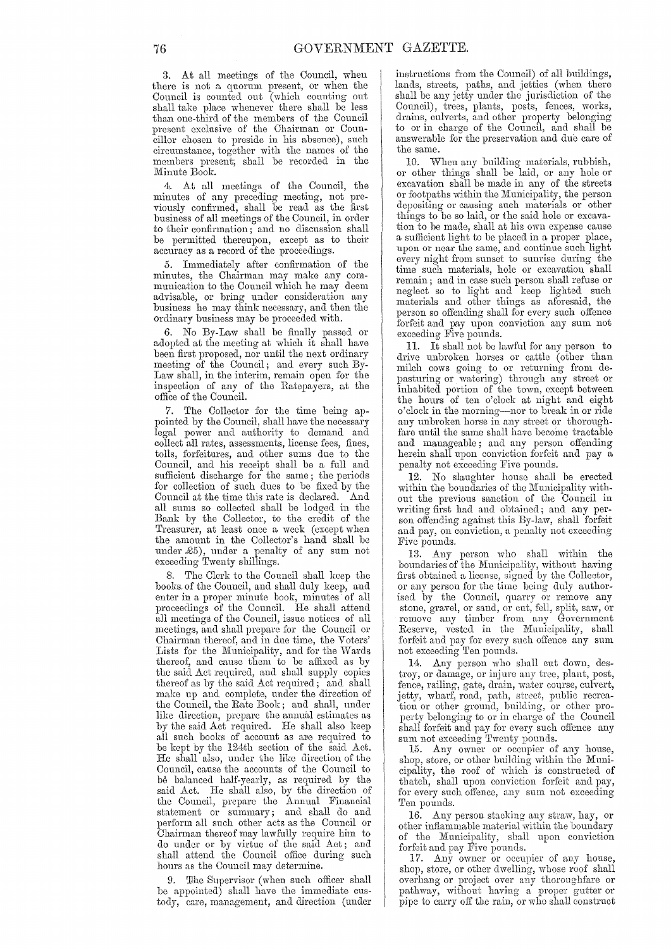3. At all meetings of the Council, when there is not a quorum present, or when the Council is counted out (which counting out shall take place whenever there shall be less than one-third of the members of the Council present exclusive of the Chairman or Councillor chosen to preside in his absence), such circumstance, together with the names of the members present; shall be recorded in the Minute Book.

At all meetings of the Council, the minutes of any preceding meeting, not previously confirmed, shall be read as the first business of all meetings of the Council, in order to their confirmation; and no discussion shall be permitted thereupon, except as to their accuracy as a record of the proceedings.

5. Immediately after confirmation of the minutes, the Chairman may make any communication to the Council which he may deem advisable, or bring under consideration any business he may think necessary, and then the ordinary business may be proceeded with.

6. No By-Law shall be finally passed or adopted at the meeting at which it shall have been first proposed, nor until the next ordinary meeting of the Council; and every such By-Law shall, in the interim, remain open for the inspection of any of the Ratepayers, at the office of the Council.

7. The Collector for the time being appointed by the Council, shall have the necessary legal power and authority to demand and collect all Tates, assessments, license fees, fines, tolls, forfeitures, and other sums due to the Council, and his Teceipt shall be a full and sufficient discharge for the same; the periods for collection of such dues to be fixed by the Council at the time this rate is declared. And all sums so collected shall be lodged in the Bank by the Collector, to the credit of the Treasurer, at least once a week (except when the amount in the Collector's hand shall be under £5), under a penalty of any sum not exceeding Twenty shillings.

8. The Clerk to the Council shall keep the books. of the Council, and shall duly keep, and enter in a proper minute book, minutes' of all proeeedings of the Council. He shall attend all meetings of the Council, issue notices of all meetings, and shall prepare for the Council or Chairman thereof, and in due time, the Voters' Lists for the Municipality, and for the Wards thereof, and cause them to be affixed as by the said Act required, and shall supply copies thereof as by the said Act required; and shaH make up and complete, under the direction of the Council, the Rate Book; and shall, under like direction, prepare the annual estimates as by the said Act required. He shall also keep all such books of account as are required to be kept by the 124th section of the said Act. He shall also, under the like direction of the Council, cause the accounts of the Council to be balanced half-yearly, as required by the said Act. He shall also, by the direction of the Council, prepare the Annual Financial statement or summary; and shall do and perform all such other acts as the Council or Chairman thereof may lawfully require him to do under or by virtue of the said Act; and shall attend the Council office during such hours as the Council may determine.

9. 'Ilhe Supervisor (when such officer shall be appointed) shall have the immediate custody, care, management, and direction (under instructions from the Council) of all buildings, lands, streets, paths, and jetties (when there shall be any jetty under the jurisdiction of the Council), trees, plants, posts, fences, works, drains, culverts, and other property belonging to or in charge of the Council, and shall be answerable for the preservation and due care of the same.

10. When any building materials, rubbish, or other things shall be laid, 01' any hole or excavation shall be made in any of the streets or footpaths within the Municipality, the person depositing or causing such materials or other things to be so laid, or the said hole or excavation to be made, shall at his own expense cause a sufficient light to be placed in a proper place, upon or near the same, and continue such light every night from sunset to sunrise during the time such materials, hole or excavation shall remain; and in case such person shall refuse or neglect so to light and keep lighted such materials and other things as aforesaid, the person so offending shall for every such offence forfeit and pay upon conviction any sum not exceeding Five pounds.

11. It shall not be lawful for any person to drive unbroken horses or cattle (other than milch cows going to or returning from depasturing or watering) through any street or inhabited portion of the town, except between the hours of ten o'clock at night and eight o'clock in the morning-nor to break in or ride any unbroken horse in any street or thoroughfare until the same shall have become tractable and manageable; and any person offending herein shall upon conviction forfeit and pay a penalty not exceeding Five pounds.

12. No slaughter house shall be erected within the boundaries of the Municipality with. out the previous sanction of the Council in writing first had and obtained; and any person offending against this By-law, shall forfeit and pay, on conviction, a penalty not exceeding Five pounds.

13. Any person who shall within the boundaries of the Municipality, without having first obtained a license, signed by the Collector, or any person for the time being duly authorised by the Council, quarry or remove any stone, gravel, or sand, or cnt, fell, split, saw, or remove any timber from any Government Reserve, vested in the Municipality, shall forfeit and pay for every such offence any sum not exceeding Ten pounds.

14. Any person who shall cut down, destroy, or damage, or injure any tree, plant, post, fence, railing, gate, drain, water course, culvert, jetty, wharf, road, path, street, public recreation or other ground, building, or other property belonging to or in charge of the Council shall forfeit and pay for every such offence any sum not exceeding Twenty pounds.

15. Any owner or occupier of any house, shop, store, or other building within the Municipality, the roof of which is constructed of thatch, shall upon conviction forfeit and pay, for every such offence, any sum not exceeding Ten pounds.

16. Any person stacking any straw, hay, or other inflammable material within the boundary of the Municipality, shall upon conviction forfeit and pay Five pounds.

17. Any owner or occupier of any house, shop, store, or other dwelling, wuose roof shall overhang or project over any thoroughfare or pathway, without having a proper gutter or pipe to carry off the rain, or who shall construct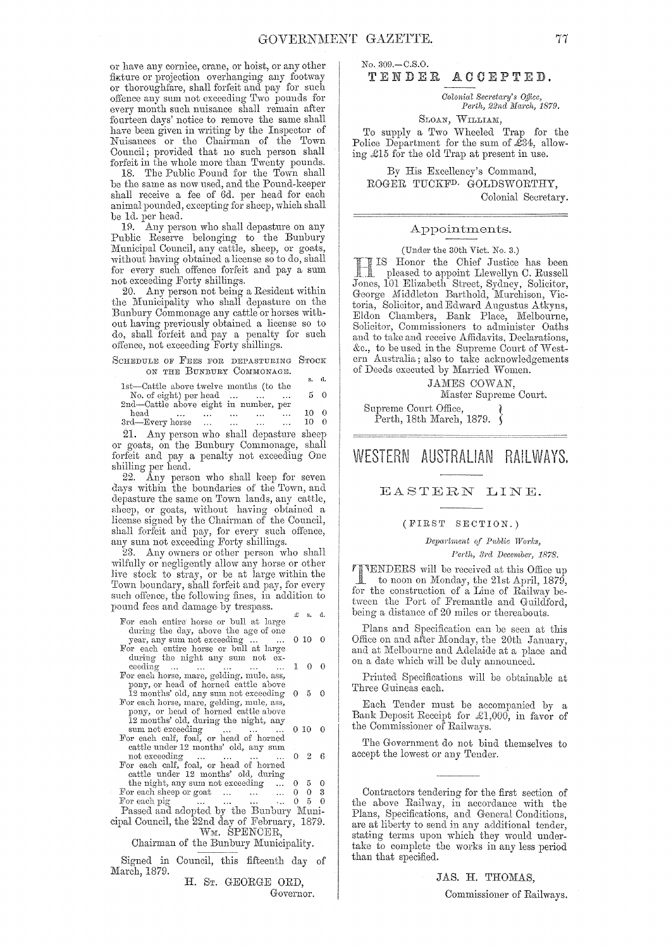or have any cornice, crane, or hoist, or any other fixture or projection overhanging any footway or thoroughfare, shall forfeit and pay for such offence any sum not exceeding Two pounds for every month such nuisance shall remain after fourteen days' notice to remove the same shall have been given in writing by the Inspector of Nuisances or the Chairman of the Town Council; provided that no such person shall forfeit in the whole more than Twenty pounds.

18. The Public Pound for the Town shall be the same as now used, and the Pound-keeper shall receive a fee of 6d. per head for each animal pounded, excepting for sheep, which shall be 1d. per head.

19. Any person who shall depasture on any Public Reserve belonging to the Bunbury Municipal Council, any cattle, sheep, or goats, without having obtained a license so to do, shall for every such offence forfeit and pay a sum not exceeding Forty shillings.

20. Any person not being a Resident within the Municipality who shall depasture on the Bunbury Commonage any cattle or horses without having previously obtained a license so to do, shall forfeit and pay a penalty for such offence, not exceeding Forty shillings.

SCHEDULE OF FEES FOR DEPASTURING STOCK ON THE BUNBURY COMMONAGE.

|                                        |                      |           |              |           | s.   | d.       |
|----------------------------------------|----------------------|-----------|--------------|-----------|------|----------|
| 1st—Cattle above twelve months (to the |                      |           |              |           |      |          |
| No. of eight) per head $\dots$         |                      |           |              |           |      | 50       |
| 2nd-Cattle above eight in number, per  |                      |           |              |           |      |          |
| head<br>$\ddotsc$                      | $\sim$ $\sim$ $\sim$ | $\cdots$  |              | $\ddotsc$ | 10 - | 0        |
| 3rd-Every horse                        | $\sim$ $\sim$ $\sim$ | $\ddotsc$ | and the same |           | 10   | $\Omega$ |
|                                        |                      |           |              |           |      |          |

21. Any person who shall depasture sheep or goats, on the Bunbury Commonage, shall forfeit and pay a penalty not exceeding One shilling per head.

22. Any person who shall keep for seven days within the boundaries of the Town, and depasture the same on Town lands, any cattle, sheep, or goats, without having obtained a license signed by the Chairman of the Council, shall forfeit and pay, for every such offonce, any sum not exceeding Forty shillings.

23. Any owners or other person who shall wilfully or negligently allow any horse or other live stock to stray, or be at large within the Town boundary, shall forfeit and pay, for every such offence, the following fines, in addition to pound fees and damage by trespass.  $\qquad \qquad \text{g} \qquad \text{s. d.}$ 

| For each entire horse or bull at large                                                                                     |    | x s. a.           |                |  |
|----------------------------------------------------------------------------------------------------------------------------|----|-------------------|----------------|--|
| during the day, above the age of one<br>year, any sum not exceeding<br>For each entire horse or bull at large              |    | 0100              |                |  |
| during the night any sum not ex-<br>ceeding<br>For each horse, mare, gelding, mule, ass,                                   |    | 10                | $\theta$       |  |
| pony, or head of horned cattle above<br>12 months' old, any sum not exceeding<br>For each horse, mare, gelding, mule, ass, |    | 0 5 0             |                |  |
| pony, or head of horned cattle above<br>12 months' old, during the night, any<br>sum not exceeding                         |    | $0\ 10\quad 0$    |                |  |
| For each calf, foal, or head of horned<br>cattle under 12 months' old, any sum<br>not exceeding                            |    | $0\quad 2\quad 6$ |                |  |
| For each calf, foal, or head of horned<br>cattle under 12 months' old, during                                              |    |                   |                |  |
| the night, any sum not exceeding                                                                                           | 0. |                   | 5 0            |  |
| For each sheep or goat                                                                                                     | 0. |                   | 0 <sup>3</sup> |  |
| For each pig $\dots \dots \dots \dots$                                                                                     |    | 05                | $\overline{0}$ |  |
| Passed and adopted by the Bunbury Muni-                                                                                    |    |                   |                |  |
| cipal Council, the 22nd day of February, 1879.<br>WM. SPENCER,                                                             |    |                   |                |  |
| Chairman of the Bunbury Municipality.                                                                                      |    |                   |                |  |
| $\alpha_{i, \text{mod}}$ in $\alpha_{i, \text{mod}}$ this fillows $\alpha$                                                 |    |                   |                |  |

Signed in Council, this fifteenth day of March, 1879.

H. ST. GEORGE ORD, Governor. No.309.-C.S.0.

# TENDER ACCEPTED.

*Oolonial Secreta1'Y's o.tiicc, Perth, 22ncl Ma1'ch, 1879.* 

SLOAN, WILLIAM,

To supply a Two Wheeled Trap for the Police Department for the sum of  $\mathcal{L}34$ , allowing £15 for the old Trap at present in use.

By His Excellency's Command, ROGER TUCKFD. GOLDSWORTHY, Colonial Secretary.

# Appointments.

### (Under the 30th Vict. No. 3.)

IS Honor the Chief Justice has been pleased to appoint Llewellyn C. Russell 101 Elizabeth Street, Sydney, Solicitor, George Middleton Barthold, Murchison, Victoria, Solicitor, and Edward Augustus Atkyns, Eldon Chambers, Bank Place, Melbourne, Solicitor, Commissioners to administer Oaths and to take and receive Affidavits, Declarations,  $\&c.,\$  to be used in the Supreme Court of Western Australia; also to take acknowledgements of Deeds executed by Married Women.

JAMES COWAN.

Master Supreme Court.

Supreme Oourt Office, ( Perth, 18th March, 1879.  $\delta$ 

# WESTERN AUSTRALIAN RAILWAYS.

# EASTERN LINE.

### (FIRST'SECTION.)

*Department of Public Works, l'el'th, BI'cl Decernbcj', 1878.* 

TENDERS will be received at this Office up **1** to noon on Monday, the 21st April, 1879, for the construction of a Line of Railway between the Port of Fremantle and Guildford, being a distance of 20 miles or thereabouts.

Plans and Specification can be seen at this Office on and after Monday, the 20th January, and at Melbourne and Adelaide at a place and on a date which will be duly announced.

Printed Specifications will be obtainable at Three Guineas each.

Each Tender must be accompanied by a Bank Deposit Receipt for  $\mathcal{L}1,000$ , in favor of the Commissioner of Railways.

The Government do not bind themselves to accept the lowest or any Tender.

Contractors tendering for the first section of the above Railway, in accordance with tbe Plans, Specifications, and General Conditions, are at liberty to send in any additional tender, stating terms upon which they would undertake to complete the works in any less period than that specified.

JAS. H. THOMAS,

Commissioner of Railways.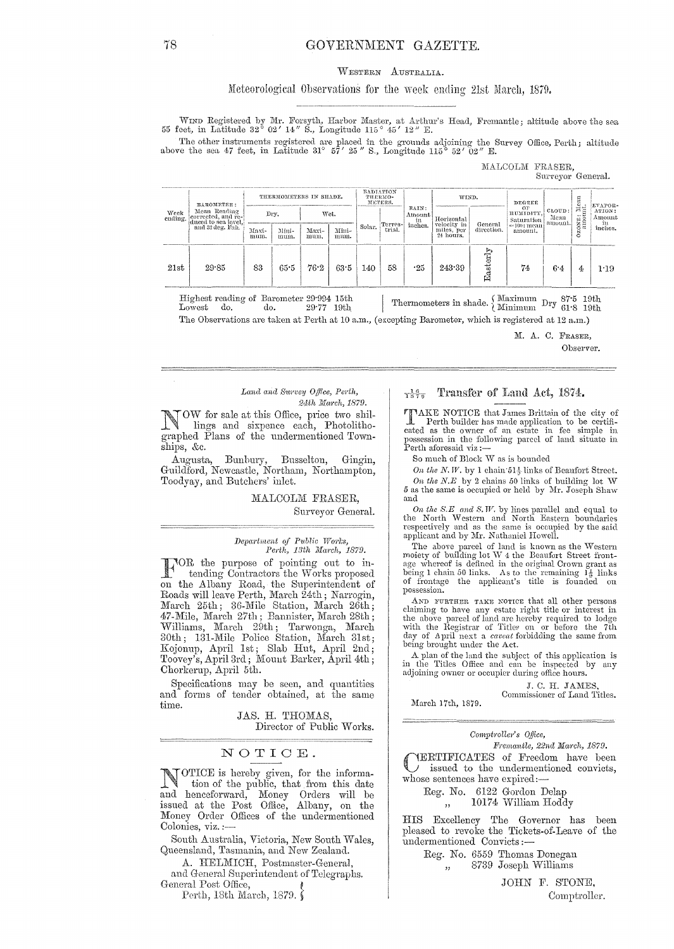# GOVERNMENT GAZETTE.

### WESTERN AUSTRALIA.

# Meteorological Observations for the week ending 21st March, 1879.

WIND Registered by Mr. Forsyth, Harbor Master, at Arthur's Head, Fremantle; altitude above the sea 55 feet, in Latitude 32° 02' 14" S., Longitude 115° 45' 12" E.

The other instruments registered are placed in the grounds adjoining the Survey Office, Perth; altitude above the sea 47 feet, in Latitude 31°  $57'$  25" S., Longitude 115°  $52'$  02" E.

### MALCOLM FRASER. Surveyor General.

| Week<br>ending. | BAROMRTER:<br>Mean Reading<br>corrected, and re-<br>duced to sea level.<br>and 32 deg. Fah. | THERMOMETERS IN SHADE. |               | RADIATION<br>THERMO-<br>METERS. |               |        |                    | WIND.<br>DEGEEE                  |                                                      |                       |                                                           | EVAPOR-                   |                      |                                    |
|-----------------|---------------------------------------------------------------------------------------------|------------------------|---------------|---------------------------------|---------------|--------|--------------------|----------------------------------|------------------------------------------------------|-----------------------|-----------------------------------------------------------|---------------------------|----------------------|------------------------------------|
|                 |                                                                                             |                        | Drv.          |                                 | Wet.          |        | Terres-l<br>trial. | RAIN:<br>Amount<br>in<br>inches. | Horizontal<br>velocity in<br>miles, per<br>24 hours. | General<br>direction. | ΟF<br>HUMIDITY,<br>Saturation<br>$=100$ : mean<br>amount. | CLOUD:<br>Mean<br>amount. | CONE: Mean<br>Ñ<br>Ö | ATION:<br>Amount<br>in.<br>inches. |
|                 |                                                                                             | Maxi-<br>mum.          | Mini-<br>mum. | Maxi-<br>mum.                   | Mini-<br>mum. | Solar. |                    |                                  |                                                      |                       |                                                           |                           |                      |                                    |
| 21st            | 29.85                                                                                       | 83                     | 65.5          | 76.2                            | 63.5          | 140    | 58                 | -25                              | 243.39                                               | Easterl               | 74                                                        | 6.4                       | 4                    | 1:19                               |

Highest reading of Barometer 29.994 15th  $29.77 - 19th$ Lowest do. do.

Thermometers in shade.  $\left\{\!\!\begin{array}{c} \text{Maximum} \\ \text{Minimum} \end{array}\right. \!\!\!$  Dry  $\!\!\!{}^{87\cdot5}_{61\cdot8}\!\!\!$  19th

The Observations are taken at Perth at 10 a.m., (excepting Barometer, which is registered at 12 a.m.)

M. A. C. FRASER, Observer.

### Land and Survey Office, Perth, 24th March, 1879.

OW for sale at this Office, price two shillings and sixpence each, Photolithographed Plans of the undermentioned Townships, &c.

 $\begin{minipage}[c]{0.9\linewidth} Augusta, \quad Bunbury, \quad Busselton, \quad Gingin, \quad Guidford, \, Newcastle, \, Northam, \, Northampton, \end{minipage}$ Toodyay, and Butchers' inlet.

## MALCOLM FRASER, Surveyor General.

### Department of Public Works, Perth, 13th March, 1879.

TOR the purpose of pointing out to intending Contractors the Works proposed on the Albany Road, the Superintendent of Roads will leave Perth, March 24th; Narrogin, March 25th; 36-Mile Station, March 26th; 47-Mile, March 27th; Bannister, March 28th; Williams, March 27th, Bahnister, March 20th;<br>Williams, March 29th; Tarwonga, March<br>30th; 131-Mile Police Station, March 31st;<br>Kojonup, April 1st; Slab Hut, April 2nd;<br>Toovey's, April 3rd; Mount Barker, April 4th; Chorkerup, April 5th.

Specifications may be seen, and quantities and forms of tender obtained, at the same time.

> JAS. H. THOMAS, Director of Public Works.

# NOTICE.

NOTICE is hereby given, for the informa-<br>tion of the public that de tion of the public, that from this date<br>and henceforward, Money Orders will be issued at the Post Office, Albany, on the Money Order Offices of the undermentioned Colonies, viz.:

South Australia, Victoria, New South Wales, Queensland, Tasmania, and New Zealand.

A. HELMICH, Postmaster-General,

and General Superintendent of Telegraphs. General Post Office,

Perth, 18th March, 1879.∫

#### Transfer of Land Act, 1874.  $\frac{16}{1879}$

TIAKE NOTICE that James Brittain of the city of The Perth builder has made application to be certificated as the owner of an estate in fee simple in ossession in the following parcel of land situate in Possessive<br>Perth aforesaid viz:-

So much of Block W as is bounded

On the N.W. by 1 chain  $51\frac{1}{2}$  links of Beaufort Street. On the N.E by 2 chains  $50$  links of building lot W 5 as the same is occupied or held by Mr. Joseph Shaw and

On the S.E and S.W. by lines parallel and equal to the North Western and North Eastern boundaries respectively and as the same is occupied by the said applicant and by Mr. Nathaniel Howell.

The above parcel of land is known as the Western moiety of building lot W 4 the Beaufort Street frontnotely of our angles where of is defined in the original Crown grant as<br>being 1 chain 50 links. As to the remaining  $1\frac{1}{2}$  links of frontage the applicant's title is founded on possession.

AND FURTHER TAKE NOTICE that all other persons claiming to have any estate right title or interest in the above parcel of land are hereby required to lodge<br>with the Registrar of Titles on or before the 7th<br>day of April next a *caveat* forbidding the same from being brought under the Act.

A plan of the land the subject of this application is<br>in the Titles Office and can be inspected by any<br>adjoining owner or occupier during office hours.

J. C. H. JAMES

Commissioner of Land Titles. March 17th, 1879.

Comptroller's Office,

Fremantle, 22nd March, 1879.

YERTIFICATES of Freedom have been issued to the undermentioned convicts, whose sentences have expired:-

Reg. No. 6122 Gordon Delap

10174 William Hoddy

HIS Excellency The Governor has been pleased to revoke the Tickets-of-Leave of the undermentioned Convicts:-

> Reg. No. 6559 Thomas Donegan 8739 Joseph Williams  $,$

> > JOHN F. STONE,

Comptroller.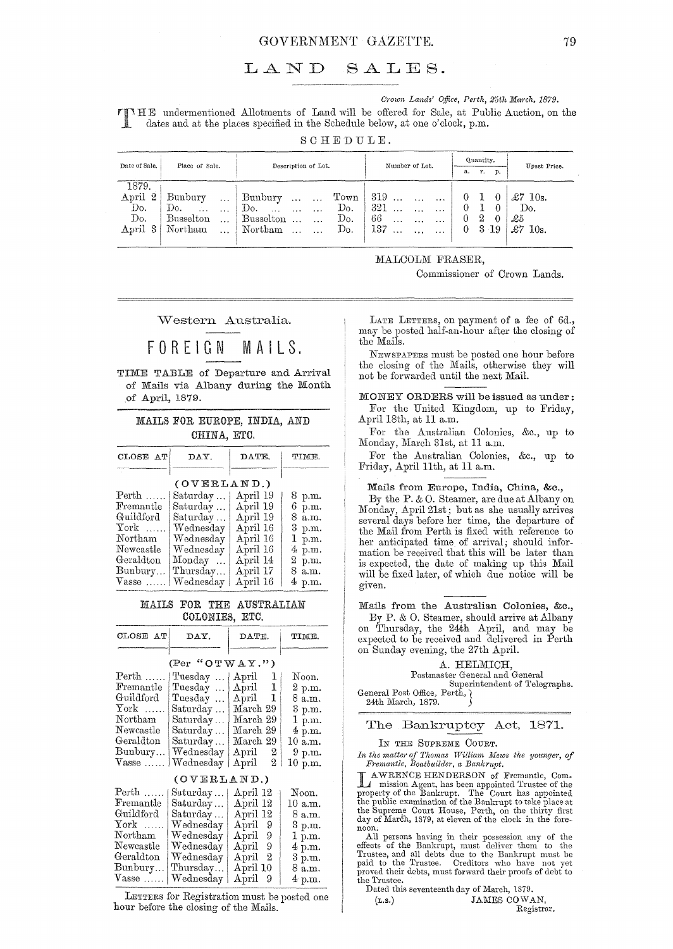### GOVERNMENT GAZETTE. 79

# LAND SALES.

*Crown Lands' Office, Perth, 25th March, 1879.* 

HE undermentioned Allotments of Land will be offered for Sale, at Public Auction, on the dates and at the places specified in the Schedule below, at one o'clock, p.m.

SCHEDULE.

| Date of Sale. | Place of Sale.                                   | Description of Lot.                          | Number of Lot.                        | Quantity.                  | Upset Price.        |
|---------------|--------------------------------------------------|----------------------------------------------|---------------------------------------|----------------------------|---------------------|
|               |                                                  |                                              |                                       | r.<br>а.<br>р.             |                     |
| 1879.         |                                                  |                                              |                                       |                            |                     |
| April<br>2    | Bunbury<br>$\cdots$                              | Town<br>Bunbury<br>$\cdots$<br>$\cdots$      | 319<br>$\cdots$                       | $\theta$                   | $\pounds 7$<br>10s. |
| Do.           | Do.<br>$\mathcal{L}_{\mathcal{F}}$ .<br>$\cdots$ | Do.<br>Do.<br>$\sim$<br>$\cdots$<br>$\cdots$ | 321<br>$\cdots$<br>$\cdots$           | $\theta$                   | Do.                 |
| Do.           | <b>Busselton</b><br>$\cdots$                     | Do.<br>Busselton<br>$\ddotsc$<br>$\cdots$    | 66<br>$\ldots$<br>$\cdots$<br>$\cdot$ | 2<br>0<br>$\left( \right)$ | £5                  |
| April 3       | Northam<br>$\cdots$                              | Do.<br>Northam<br>$\cdots$                   | 137<br>$\cdots$                       | 3 19<br>$\overline{0}$     | £7<br>10s.          |
|               |                                                  |                                              |                                       |                            |                     |

MALCOLM FRASER,

Commissioner of Crown Lands.

Western Australia.

# **FOREIGN** M A I **L S.**

TIME TABLE of Departure and Arrival of Mails via Albany during the Month of April, 1879.

# MAILS FOR EUROPE, INDIA, AND CHINA, ETC.

| CLOSE AT              | DAY.        | DATE.    | TIME.  |
|-----------------------|-------------|----------|--------|
|                       |             |          |        |
|                       | (OVERLAND.) |          |        |
| $\mathrm{Perth}$      | Saturday    | April 19 | 8 p.m. |
| Fremantle             | Saturday    | April 19 | 6 p.m. |
| Guildford             | Saturday    | April 19 | 8 a.m. |
| $\operatorname{York}$ | Wednesday   | April 16 | 3 p.m. |
| Northam               | Wednesday   | April 16 | 1 p.m. |
| Newcastle             | Wednesday   | April 16 | 4 p.m. |
| Geraldton             | Monday      | April 14 | 2 p.m. |
| Bunbury               | Thursday    | April 17 | 8 a.m. |
| $V$ asse              | Wednesday   | April 16 | 4 p.m. |

### MAILS FOR THE AUSTRALIAN COLONIES, ETC.

| CLOSE AT                                                                                                                        | DAY.                                                                                                    | DATE.                                                                                                                                            | TIME.                                                                                   |  |  |  |  |  |  |
|---------------------------------------------------------------------------------------------------------------------------------|---------------------------------------------------------------------------------------------------------|--------------------------------------------------------------------------------------------------------------------------------------------------|-----------------------------------------------------------------------------------------|--|--|--|--|--|--|
| (Per "OTWAY.")                                                                                                                  |                                                                                                         |                                                                                                                                                  |                                                                                         |  |  |  |  |  |  |
| $\mathrm{Perth}$<br>Fremantle<br>Guildford<br>$\operatorname{York}$<br>Northam<br>Newcastle<br>Geraldton<br>Bunbury<br>$V$ asse | Tuesday<br>Tuesday<br>Tuesday<br>Saturday<br>Saturday<br>Saturday<br>Saturday<br>Wednesday<br>Wednesday | April 1<br>1<br>$\rm April$<br>1<br>$\mathop{\rm April}\nolimits$<br>March 29<br>March 29<br>March 29<br>March 29<br>April 2<br>2<br>$\rm April$ | Noon.<br>2 p.m.<br>8 a.m.<br>3 p.m.<br>1 p.m.<br>4 p.m.<br>10 a.m.<br>9 p.m.<br>10 p.m. |  |  |  |  |  |  |
|                                                                                                                                 | (OVERLAMP.)                                                                                             |                                                                                                                                                  |                                                                                         |  |  |  |  |  |  |
| $Perth$<br>Fremantle<br>Guildford<br>$\operatorname{York}$<br>Northam<br>Newcastle<br>Geraldton<br>Bunbury                      | Saturday<br>Saturday<br>Saturday<br>Wednesday<br>Wednesday<br>Wednesday<br>We<br>denesday<br>Thursday   | April 12<br>April 12<br>April 12<br>April 9<br>$_{\rm April}$<br>9<br>9<br>April<br>April<br>2<br>April 10                                       | Noon.<br>10 a.m.<br>8 a.m.<br>3 p.m.<br>1 p.m.<br>4 p.m.<br>3 p.m.<br>8 a.m.            |  |  |  |  |  |  |
| $V$ asse                                                                                                                        | Wednesday                                                                                               | $_{\rm April}$<br>9                                                                                                                              | $4~\mathrm{p.m.}$                                                                       |  |  |  |  |  |  |

LETTERS for Registration must be posted one hour before the closing of the Mails.

LATE LETTERS, on payment of a fee of 6d., may be posted half-an-hour after the closing of the Mails.

NEWSPAPERS must be posted one hour before the closing of the Mails, otherwise they will not be forwarded until the next Mail.

MONEY ORDERS will be issued as under: For the United Kingdom, up to Friday,

April 18th, at 11 a.m. For the Australian Colonies, &c., up to Monday, March 31st, at 11 a.m.

For the Australian Colonies, &c., up to Friday, April 11th, at 11 a.m.

### Mails from Europe, India, China, &c.,

By the P. & O. Steamer, are due at Albany on Monday, April 21st; but as she usually arrives several days before her time, the departure of the Mail from Perth is fixed with reference to her anticipated time of arrival; should information be received that this will be later than is expected, the date of making up this Mail will be fixed later, of which due notice will be given.

Mails from the Australian Colonies, &c.,

By P. & O. Steamer, should arrive at Albany on Thursday, the 24th April, and may be expected to be received and delivered in Perth on Sunday evening, the 27th April.

A. HELMICH, Postmaster General and General Superintendent of Telegraphs. General Post Office, Perth,  $\chi$ 24th March, 1879.

# The Bankruptcy Act, 1871.

IN THE SUPREME COURT.

*In the matter of Thomas William Mews the younger, of* Fremantle, Boatbuilder, a Bankrupt.

**TAWRENCE HENDERSON** of Fremantle, Commission Agent, has been appointed Trustee of the property of the Bankrupt. The Court has appointed the buplic examination of the Bankrupt to take place at the Supreme Court House, Pert

All persons having in their possession any of the effects of the Bankrupt, must deliver them to the Bankrupt must be paid to the Trustee. Creditors who have not yet roved their debts, must forward their proofs of debt to the Trustee.

Dated this seventeenth day of March, 1879. (L.S.) JAMES COWAN, Registrar.